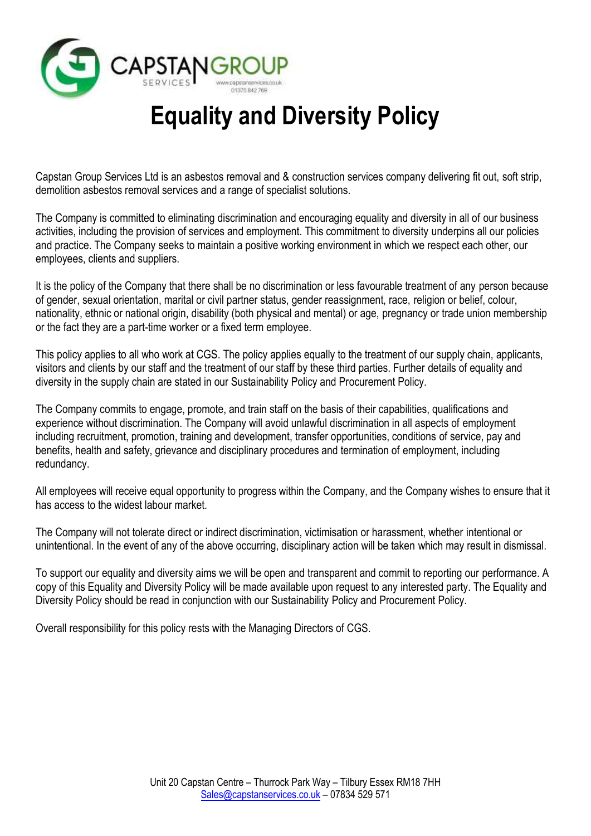

# **Equality and Diversity Policy**

Capstan Group Services Ltd is an asbestos removal and & construction services company delivering fit out, soft strip, demolition asbestos removal services and a range of specialist solutions.

The Company is committed to eliminating discrimination and encouraging equality and diversity in all of our business activities, including the provision of services and employment. This commitment to diversity underpins all our policies and practice. The Company seeks to maintain a positive working environment in which we respect each other, our employees, clients and suppliers.

It is the policy of the Company that there shall be no discrimination or less favourable treatment of any person because of gender, sexual orientation, marital or civil partner status, gender reassignment, race, religion or belief, colour, nationality, ethnic or national origin, disability (both physical and mental) or age, pregnancy or trade union membership or the fact they are a part-time worker or a fixed term employee.

This policy applies to all who work at CGS. The policy applies equally to the treatment of our supply chain, applicants, visitors and clients by our staff and the treatment of our staff by these third parties. Further details of equality and diversity in the supply chain are stated in our Sustainability Policy and Procurement Policy.

The Company commits to engage, promote, and train staff on the basis of their capabilities, qualifications and experience without discrimination. The Company will avoid unlawful discrimination in all aspects of employment including recruitment, promotion, training and development, transfer opportunities, conditions of service, pay and benefits, health and safety, grievance and disciplinary procedures and termination of employment, including redundancy.

All employees will receive equal opportunity to progress within the Company, and the Company wishes to ensure that it has access to the widest labour market.

The Company will not tolerate direct or indirect discrimination, victimisation or harassment, whether intentional or unintentional. In the event of any of the above occurring, disciplinary action will be taken which may result in dismissal.

To support our equality and diversity aims we will be open and transparent and commit to reporting our performance. A copy of this Equality and Diversity Policy will be made available upon request to any interested party. The Equality and Diversity Policy should be read in conjunction with our Sustainability Policy and Procurement Policy.

Overall responsibility for this policy rests with the Managing Directors of CGS.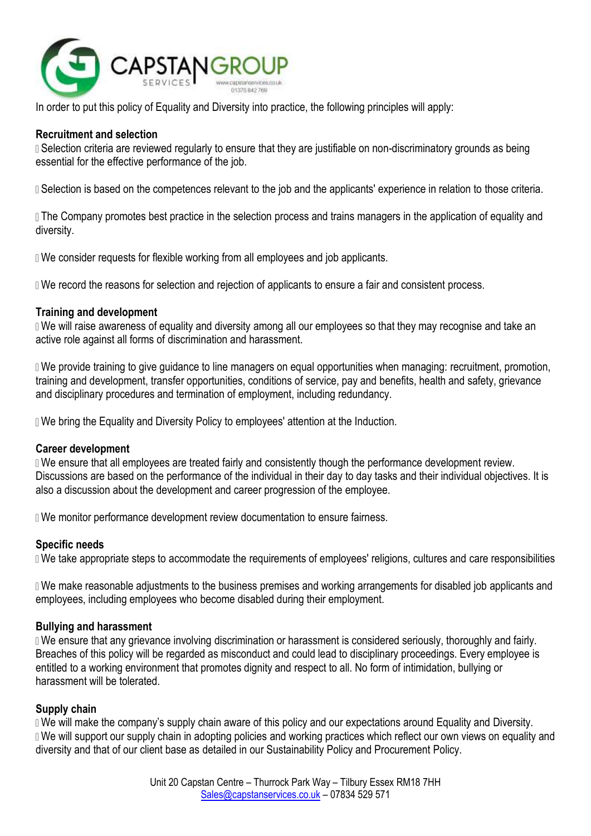

In order to put this policy of Equality and Diversity into practice, the following principles will apply:

## **Recruitment and selection**

 Selection criteria are reviewed regularly to ensure that they are justifiable on non-discriminatory grounds as being essential for the effective performance of the job.

I Selection is based on the competences relevant to the job and the applicants' experience in relation to those criteria.

 The Company promotes best practice in the selection process and trains managers in the application of equality and diversity.

We consider requests for flexible working from all employees and job applicants.

We record the reasons for selection and rejection of applicants to ensure a fair and consistent process.

### **Training and development**

 We will raise awareness of equality and diversity among all our employees so that they may recognise and take an active role against all forms of discrimination and harassment.

 We provide training to give guidance to line managers on equal opportunities when managing: recruitment, promotion, training and development, transfer opportunities, conditions of service, pay and benefits, health and safety, grievance and disciplinary procedures and termination of employment, including redundancy.

We bring the Equality and Diversity Policy to employees' attention at the Induction.

#### **Career development**

 We ensure that all employees are treated fairly and consistently though the performance development review. Discussions are based on the performance of the individual in their day to day tasks and their individual objectives. It is also a discussion about the development and career progression of the employee.

**I** We monitor performance development review documentation to ensure fairness.

#### **Specific needs**

We take appropriate steps to accommodate the requirements of employees' religions, cultures and care responsibilities

 We make reasonable adjustments to the business premises and working arrangements for disabled job applicants and employees, including employees who become disabled during their employment.

#### **Bullying and harassment**

 We ensure that any grievance involving discrimination or harassment is considered seriously, thoroughly and fairly. Breaches of this policy will be regarded as misconduct and could lead to disciplinary proceedings. Every employee is entitled to a working environment that promotes dignity and respect to all. No form of intimidation, bullying or harassment will be tolerated.

#### **Supply chain**

We will make the company's supply chain aware of this policy and our expectations around Equality and Diversity. We will support our supply chain in adopting policies and working practices which reflect our own views on equality and diversity and that of our client base as detailed in our Sustainability Policy and Procurement Policy.